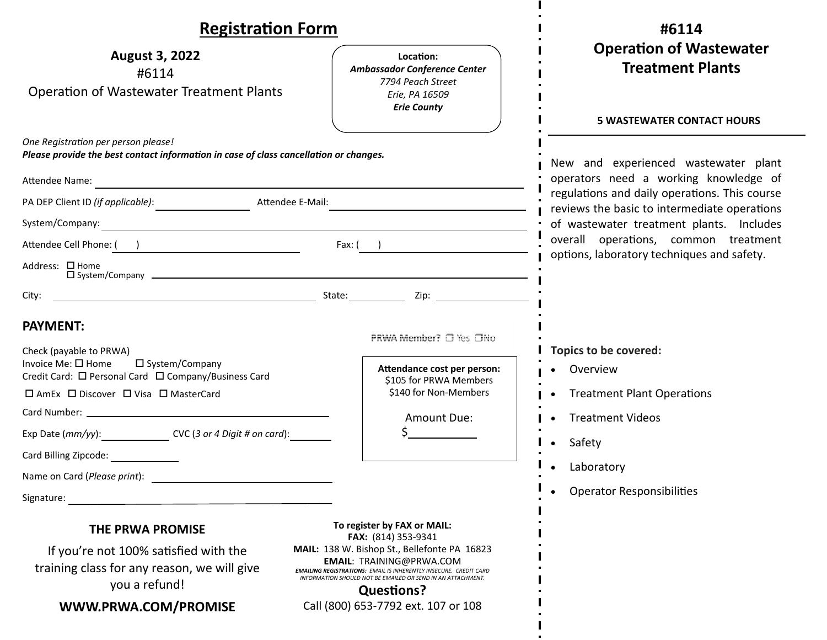| <b>Registration Form</b>                                                                                                                 |                                                                                                                                                                                                                                                 | #6114                                                                                                                                                                              |  |
|------------------------------------------------------------------------------------------------------------------------------------------|-------------------------------------------------------------------------------------------------------------------------------------------------------------------------------------------------------------------------------------------------|------------------------------------------------------------------------------------------------------------------------------------------------------------------------------------|--|
| <b>August 3, 2022</b><br>#6114<br><b>Operation of Wastewater Treatment Plants</b>                                                        | Location:<br>Ambassador Conference Center<br>7794 Peach Street<br>Erie, PA 16509<br><b>Erie County</b>                                                                                                                                          | <b>Operation of Wastewater</b><br><b>Treatment Plants</b>                                                                                                                          |  |
| One Registration per person please!                                                                                                      |                                                                                                                                                                                                                                                 | <b>5 WASTEWATER CONTACT HOURS</b>                                                                                                                                                  |  |
| Please provide the best contact information in case of class cancellation or changes.                                                    |                                                                                                                                                                                                                                                 | New and experienced wastewater plant                                                                                                                                               |  |
| Attendee Name:<br><u> 1989 - Johann Stoff, deutscher Stoffen und der Stoffen und der Stoffen und der Stoffen und der Stoffen und der</u> |                                                                                                                                                                                                                                                 | operators need a working knowledge of<br>regulations and daily operations. This course<br>reviews the basic to intermediate operations<br>of wastewater treatment plants. Includes |  |
| PA DEP Client ID (if applicable): Many Attendee E-Mail:                                                                                  |                                                                                                                                                                                                                                                 |                                                                                                                                                                                    |  |
|                                                                                                                                          |                                                                                                                                                                                                                                                 |                                                                                                                                                                                    |  |
| Attendee Cell Phone: ( )                                                                                                                 | Fax: $($ )                                                                                                                                                                                                                                      | overall operations, common treatment<br>options, laboratory techniques and safety.                                                                                                 |  |
| Address: □ Home<br>$\square$ System/Company $\square$                                                                                    |                                                                                                                                                                                                                                                 |                                                                                                                                                                                    |  |
|                                                                                                                                          |                                                                                                                                                                                                                                                 |                                                                                                                                                                                    |  |
| <b>PAYMENT:</b>                                                                                                                          | PRWA Member? □ Yes □No                                                                                                                                                                                                                          |                                                                                                                                                                                    |  |
| Check (payable to PRWA)                                                                                                                  |                                                                                                                                                                                                                                                 | Topics to be covered:                                                                                                                                                              |  |
| Invoice Me: □ Home<br>$\square$ System/Company<br>Credit Card: □ Personal Card □ Company/Business Card                                   | Attendance cost per person:<br>\$105 for PRWA Members                                                                                                                                                                                           | Overview                                                                                                                                                                           |  |
| □ AmEx □ Discover □ Visa □ MasterCard                                                                                                    | \$140 for Non-Members                                                                                                                                                                                                                           | <b>Treatment Plant Operations</b>                                                                                                                                                  |  |
|                                                                                                                                          | Amount Due:                                                                                                                                                                                                                                     | <b>Treatment Videos</b>                                                                                                                                                            |  |
| Exp Date (mm/yy): _______________________ CVC (3 or 4 Digit # on card): ________                                                         |                                                                                                                                                                                                                                                 | Safety<br>$\bullet$                                                                                                                                                                |  |
| Card Billing Zipcode:                                                                                                                    |                                                                                                                                                                                                                                                 | Laboratory                                                                                                                                                                         |  |
| Name on Card (Please print):                                                                                                             |                                                                                                                                                                                                                                                 |                                                                                                                                                                                    |  |
| Signature:                                                                                                                               |                                                                                                                                                                                                                                                 | <b>Operator Responsibilities</b>                                                                                                                                                   |  |
| To register by FAX or MAIL:<br><b>THE PRWA PROMISE</b><br>FAX: (814) 353-9341                                                            |                                                                                                                                                                                                                                                 |                                                                                                                                                                                    |  |
| If you're not 100% satisfied with the<br>training class for any reason, we will give<br>you a refund!                                    | MAIL: 138 W. Bishop St., Bellefonte PA 16823<br><b>EMAIL: TRAINING@PRWA.COM</b><br><b>EMAILING REGISTRATIONS: EMAIL IS INHERENTLY INSECURE. CREDIT CARD</b><br>INFORMATION SHOULD NOT BE EMAILED OR SEND IN AN ATTACHMENT.<br><b>Questions?</b> |                                                                                                                                                                                    |  |
| WWW.PRWA.COM/PROMISE                                                                                                                     | Call (800) 653-7792 ext. 107 or 108                                                                                                                                                                                                             |                                                                                                                                                                                    |  |